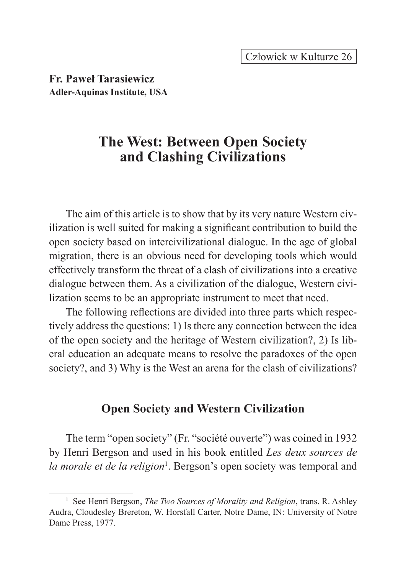**Fr. Paweł Tarasiewicz Adler-Aquinas Institute, USA**

# **The West: Between Open Society and Clashing Civilizations**

The aim of this article is to show that by its very nature Western civilization is well suited for making a significant contribution to build the open society based on intercivilizational dialogue. In the age of global migration, there is an obvious need for developing tools which would effectively transform the threat of a clash of civilizations into a creative dialogue between them. As a civilization of the dialogue, Western civilization seems to be an appropriate instrument to meet that need.

The following reflections are divided into three parts which respectively address the questions: 1) Is there any connection between the idea of the open society and the heritage of Western civilization?, 2) Is liberal education an adequate means to resolve the paradoxes of the open society?, and 3) Why is the West an arena for the clash of civilizations?

# **Open Society and Western Civilization**

The term "open society" (Fr. "société ouverte") was coined in 1932 by Henri Bergson and used in his book entitled *Les deux sources de*  la morale et de la religion<sup>1</sup>. Bergson's open society was temporal and

<sup>1</sup> See Henri Bergson, *The Two Sources of Morality and Religion*, trans. R. Ashley Audra, Cloudesley Brereton, W. Horsfall Carter, Notre Dame, IN: University of Notre Dame Press, 1977.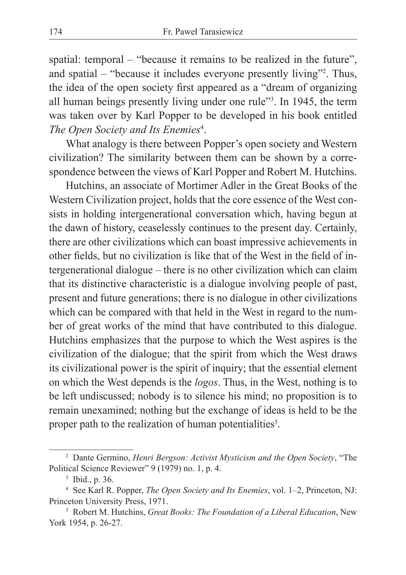spatial: temporal – "because it remains to be realized in the future", and spatial – "because it includes everyone presently living"2 . Thus, the idea of the open society first appeared as a "dream of organizing all human beings presently living under one rule"<sup>3</sup> . In 1945, the term was taken over by Karl Popper to be developed in his book entitled *The Open Society and Its Enemies*<sup>4</sup> .

What analogy is there between Popper's open society and Western civilization? The similarity between them can be shown by a correspondence between the views of Karl Popper and Robert M. Hutchins.

Hutchins, an associate of Mortimer Adler in the Great Books of the Western Civilization project, holds that the core essence of the West consists in holding intergenerational conversation which, having begun at the dawn of history, ceaselessly continues to the present day. Certainly, there are other civilizations which can boast impressive achievements in other fields, but no civilization is like that of the West in the field of intergenerational dialogue – there is no other civilization which can claim that its distinctive characteristic is a dialogue involving people of past, present and future generations; there is no dialogue in other civilizations which can be compared with that held in the West in regard to the number of great works of the mind that have contributed to this dialogue. Hutchins emphasizes that the purpose to which the West aspires is the civilization of the dialogue; that the spirit from which the West draws its civilizational power is the spirit of inquiry; that the essential element on which the West depends is the *logos*. Thus, in the West, nothing is to be left undiscussed; nobody is to silence his mind; no proposition is to remain unexamined; nothing but the exchange of ideas is held to be the proper path to the realization of human potentialities<sup>5</sup>.

<sup>2</sup> Dante Germino, *Henri Bergson: Activist Mysticism and the Open Society*, "The Political Science Reviewer" 9 (1979) no. 1, p. 4.

<sup>3</sup> Ibid., p. 36.

<sup>4</sup> See Karl R. Popper, *The Open Society and Its Enemies*, vol. 1–2, Princeton, NJ: Princeton University Press, 1971.

<sup>5</sup> Robert M. Hutchins, *Great Books: The Foundation of a Liberal Education*, New York 1954, p. 26-27.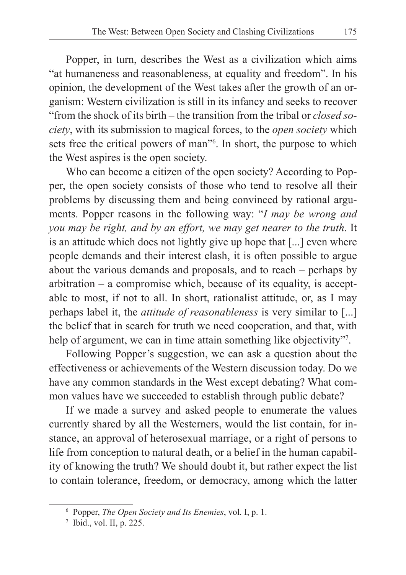Popper, in turn, describes the West as a civilization which aims "at humaneness and reasonableness, at equality and freedom". In his opinion, the development of the West takes after the growth of an organism: Western civilization is still in its infancy and seeks to recover "from the shock of its birth – the transition from the tribal or *closed society*, with its submission to magical forces, to the *open society* which sets free the critical powers of man"<sup>6</sup> . In short, the purpose to which the West aspires is the open society.

Who can become a citizen of the open society? According to Popper, the open society consists of those who tend to resolve all their problems by discussing them and being convinced by rational arguments. Popper reasons in the following way: "*I may be wrong and you may be right, and by an effort, we may get nearer to the truth*. It is an attitude which does not lightly give up hope that [...] even where people demands and their interest clash, it is often possible to argue about the various demands and proposals, and to reach – perhaps by arbitration – a compromise which, because of its equality, is acceptable to most, if not to all. In short, rationalist attitude, or, as I may perhaps label it, the *attitude of reasonableness* is very similar to [...] the belief that in search for truth we need cooperation, and that, with help of argument, we can in time attain something like objectivity"<sup>7</sup>.

Following Popper's suggestion, we can ask a question about the effectiveness or achievements of the Western discussion today. Do we have any common standards in the West except debating? What common values have we succeeded to establish through public debate?

If we made a survey and asked people to enumerate the values currently shared by all the Westerners, would the list contain, for instance, an approval of heterosexual marriage, or a right of persons to life from conception to natural death, or a belief in the human capability of knowing the truth? We should doubt it, but rather expect the list to contain tolerance, freedom, or democracy, among which the latter

<sup>6</sup> Popper, *The Open Society and Its Enemies*, vol. I, p. 1.

<sup>7</sup> Ibid., vol. II, p. 225.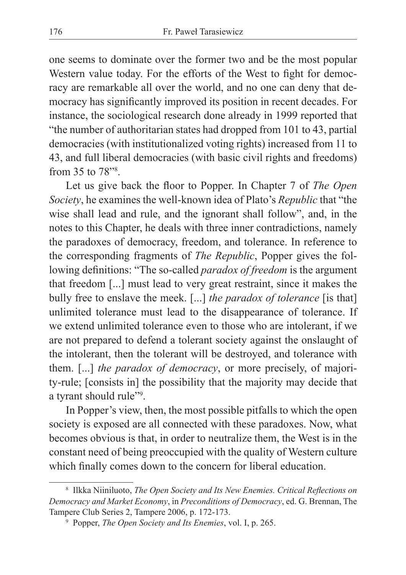one seems to dominate over the former two and be the most popular Western value today. For the efforts of the West to fight for democracy are remarkable all over the world, and no one can deny that democracy has significantly improved its position in recent decades. For instance, the sociological research done already in 1999 reported that "the number of authoritarian states had dropped from 101 to 43, partial democracies (with institutionalized voting rights) increased from 11 to 43, and full liberal democracies (with basic civil rights and freedoms) from 35 to 78"8 .

Let us give back the floor to Popper. In Chapter 7 of *The Open Society*, he examines the well-known idea of Plato's *Republic* that "the wise shall lead and rule, and the ignorant shall follow", and, in the notes to this Chapter, he deals with three inner contradictions, namely the paradoxes of democracy, freedom, and tolerance. In reference to the corresponding fragments of *The Republic*, Popper gives the following definitions: "The so-called *paradox of freedom* is the argument that freedom [...] must lead to very great restraint, since it makes the bully free to enslave the meek. [...] *the paradox of tolerance* [is that] unlimited tolerance must lead to the disappearance of tolerance. If we extend unlimited tolerance even to those who are intolerant, if we are not prepared to defend a tolerant society against the onslaught of the intolerant, then the tolerant will be destroyed, and tolerance with them. [...] *the paradox of democracy*, or more precisely, of majority-rule; [consists in] the possibility that the majority may decide that a tyrant should rule"<sup>9</sup>.

In Popper's view, then, the most possible pitfalls to which the open society is exposed are all connected with these paradoxes. Now, what becomes obvious is that, in order to neutralize them, the West is in the constant need of being preoccupied with the quality of Western culture which finally comes down to the concern for liberal education.

<sup>8</sup> Ilkka Niiniluoto, *The Open Society and Its New Enemies. Critical Reflections on Democracy and Market Economy*, in *Preconditions of Democracy*, ed. G. Brennan, The Tampere Club Series 2, Tampere 2006, p. 172-173.

<sup>9</sup> Popper, *The Open Society and Its Enemies*, vol. I, p. 265.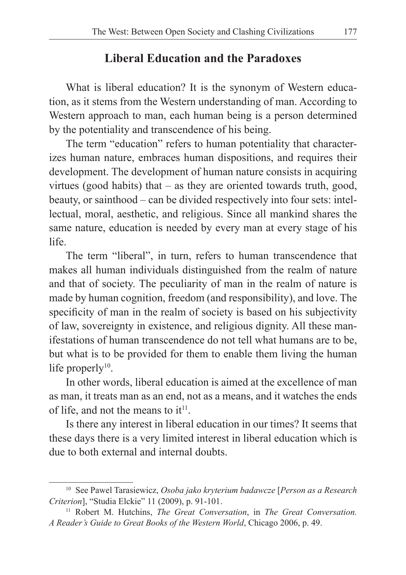# **Liberal Education and the Paradoxes**

What is liberal education? It is the synonym of Western education, as it stems from the Western understanding of man. According to Western approach to man, each human being is a person determined by the potentiality and transcendence of his being.

The term "education" refers to human potentiality that characterizes human nature, embraces human dispositions, and requires their development. The development of human nature consists in acquiring virtues (good habits) that – as they are oriented towards truth, good, beauty, or sainthood – can be divided respectively into four sets: intellectual, moral, aesthetic, and religious. Since all mankind shares the same nature, education is needed by every man at every stage of his life.

The term "liberal", in turn, refers to human transcendence that makes all human individuals distinguished from the realm of nature and that of society. The peculiarity of man in the realm of nature is made by human cognition, freedom (and responsibility), and love. The specificity of man in the realm of society is based on his subjectivity of law, sovereignty in existence, and religious dignity. All these manifestations of human transcendence do not tell what humans are to be, but what is to be provided for them to enable them living the human life properly $10$ .

In other words, liberal education is aimed at the excellence of man as man, it treats man as an end, not as a means, and it watches the ends of life, and not the means to it<sup>11</sup>.

Is there any interest in liberal education in our times? It seems that these days there is a very limited interest in liberal education which is due to both external and internal doubts.

<sup>10</sup> See Pawel Tarasiewicz, *Osoba jako kryterium badawcze* [*Person as a Research Criterion*], "Studia Elckie" 11 (2009), p. 91-101.

<sup>11</sup> Robert M. Hutchins, *The Great Conversation*, in *The Great Conversation. A Reader's Guide to Great Books of the Western World*, Chicago 2006, p. 49.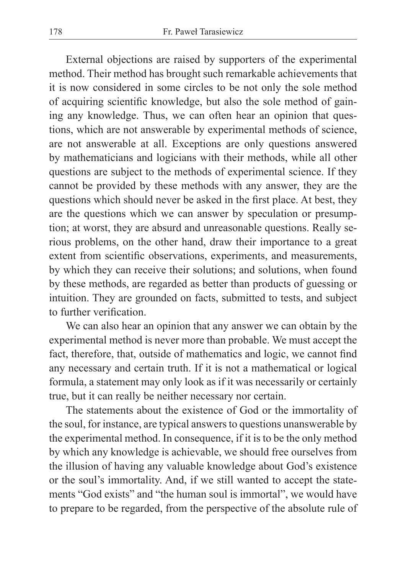External objections are raised by supporters of the experimental method. Their method has brought such remarkable achievements that it is now considered in some circles to be not only the sole method of acquiring scientific knowledge, but also the sole method of gaining any knowledge. Thus, we can often hear an opinion that questions, which are not answerable by experimental methods of science, are not answerable at all. Exceptions are only questions answered by mathematicians and logicians with their methods, while all other questions are subject to the methods of experimental science. If they cannot be provided by these methods with any answer, they are the questions which should never be asked in the first place. At best, they are the questions which we can answer by speculation or presumption; at worst, they are absurd and unreasonable questions. Really serious problems, on the other hand, draw their importance to a great extent from scientific observations, experiments, and measurements, by which they can receive their solutions; and solutions, when found by these methods, are regarded as better than products of guessing or intuition. They are grounded on facts, submitted to tests, and subject to further verification.

We can also hear an opinion that any answer we can obtain by the experimental method is never more than probable. We must accept the fact, therefore, that, outside of mathematics and logic, we cannot find any necessary and certain truth. If it is not a mathematical or logical formula, a statement may only look as if it was necessarily or certainly true, but it can really be neither necessary nor certain.

The statements about the existence of God or the immortality of the soul, for instance, are typical answers to questions unanswerable by the experimental method. In consequence, if it is to be the only method by which any knowledge is achievable, we should free ourselves from the illusion of having any valuable knowledge about God's existence or the soul's immortality. And, if we still wanted to accept the statements "God exists" and "the human soul is immortal", we would have to prepare to be regarded, from the perspective of the absolute rule of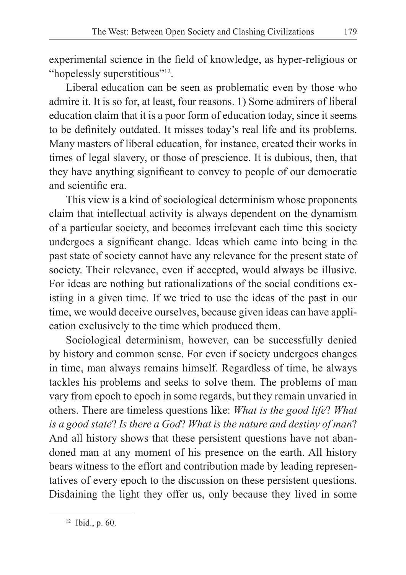experimental science in the field of knowledge, as hyper-religious or "hopelessly superstitious"<sup>12</sup>.

Liberal education can be seen as problematic even by those who admire it. It is so for, at least, four reasons. 1) Some admirers of liberal education claim that it is a poor form of education today, since it seems to be definitely outdated. It misses today's real life and its problems. Many masters of liberal education, for instance, created their works in times of legal slavery, or those of prescience. It is dubious, then, that they have anything significant to convey to people of our democratic and scientific era.

This view is a kind of sociological determinism whose proponents claim that intellectual activity is always dependent on the dynamism of a particular society, and becomes irrelevant each time this society undergoes a significant change. Ideas which came into being in the past state of society cannot have any relevance for the present state of society. Their relevance, even if accepted, would always be illusive. For ideas are nothing but rationalizations of the social conditions existing in a given time. If we tried to use the ideas of the past in our time, we would deceive ourselves, because given ideas can have application exclusively to the time which produced them.

Sociological determinism, however, can be successfully denied by history and common sense. For even if society undergoes changes in time, man always remains himself. Regardless of time, he always tackles his problems and seeks to solve them. The problems of man vary from epoch to epoch in some regards, but they remain unvaried in others. There are timeless questions like: *What is the good life*? *What is a good state*? *Is there a God*? *What is the nature and destiny of man*? And all history shows that these persistent questions have not abandoned man at any moment of his presence on the earth. All history bears witness to the effort and contribution made by leading representatives of every epoch to the discussion on these persistent questions. Disdaining the light they offer us, only because they lived in some

<sup>12</sup> Ibid., p. 60.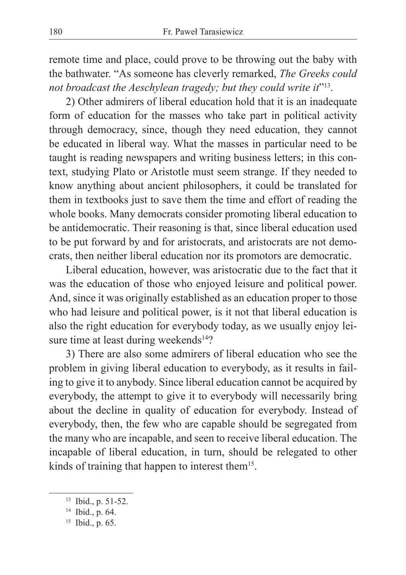remote time and place, could prove to be throwing out the baby with the bathwater. "As someone has cleverly remarked, *The Greeks could not broadcast the Aeschylean tragedy; but they could write it*"<sup>13</sup>.

2) Other admirers of liberal education hold that it is an inadequate form of education for the masses who take part in political activity through democracy, since, though they need education, they cannot be educated in liberal way. What the masses in particular need to be taught is reading newspapers and writing business letters; in this context, studying Plato or Aristotle must seem strange. If they needed to know anything about ancient philosophers, it could be translated for them in textbooks just to save them the time and effort of reading the whole books. Many democrats consider promoting liberal education to be antidemocratic. Their reasoning is that, since liberal education used to be put forward by and for aristocrats, and aristocrats are not democrats, then neither liberal education nor its promotors are democratic.

Liberal education, however, was aristocratic due to the fact that it was the education of those who enjoyed leisure and political power. And, since it was originally established as an education proper to those who had leisure and political power, is it not that liberal education is also the right education for everybody today, as we usually enjoy leisure time at least during weekends<sup>14</sup>?

3) There are also some admirers of liberal education who see the problem in giving liberal education to everybody, as it results in failing to give it to anybody. Since liberal education cannot be acquired by everybody, the attempt to give it to everybody will necessarily bring about the decline in quality of education for everybody. Instead of everybody, then, the few who are capable should be segregated from the many who are incapable, and seen to receive liberal education. The incapable of liberal education, in turn, should be relegated to other kinds of training that happen to interest them15.

<sup>13</sup> Ibid., p. 51-52.

<sup>14</sup> Ibid., p. 64.

<sup>15</sup> Ibid., p. 65.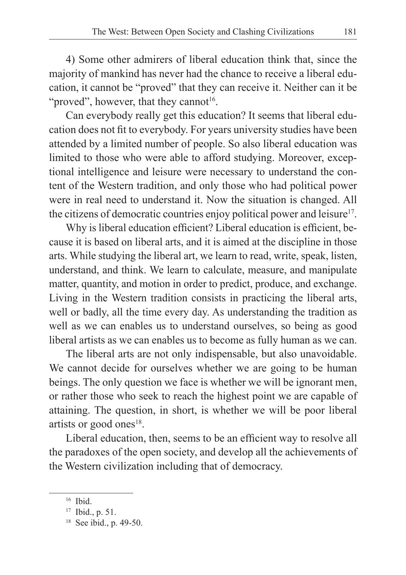4) Some other admirers of liberal education think that, since the majority of mankind has never had the chance to receive a liberal education, it cannot be "proved" that they can receive it. Neither can it be "proved", however, that they cannot<sup>16</sup>.

Can everybody really get this education? It seems that liberal education does not fit to everybody. For years university studies have been attended by a limited number of people. So also liberal education was limited to those who were able to afford studying. Moreover, exceptional intelligence and leisure were necessary to understand the content of the Western tradition, and only those who had political power were in real need to understand it. Now the situation is changed. All the citizens of democratic countries enjoy political power and leisure<sup>17</sup>.

Why is liberal education efficient? Liberal education is efficient, because it is based on liberal arts, and it is aimed at the discipline in those arts. While studying the liberal art, we learn to read, write, speak, listen, understand, and think. We learn to calculate, measure, and manipulate matter, quantity, and motion in order to predict, produce, and exchange. Living in the Western tradition consists in practicing the liberal arts, well or badly, all the time every day. As understanding the tradition as well as we can enables us to understand ourselves, so being as good liberal artists as we can enables us to become as fully human as we can.

The liberal arts are not only indispensable, but also unavoidable. We cannot decide for ourselves whether we are going to be human beings. The only question we face is whether we will be ignorant men, or rather those who seek to reach the highest point we are capable of attaining. The question, in short, is whether we will be poor liberal artists or good ones<sup>18</sup>.

Liberal education, then, seems to be an efficient way to resolve all the paradoxes of the open society, and develop all the achievements of the Western civilization including that of democracy.

<sup>16</sup> Ibid.

<sup>17</sup> Ibid., p. 51.

<sup>18</sup> See ibid., p. 49-50.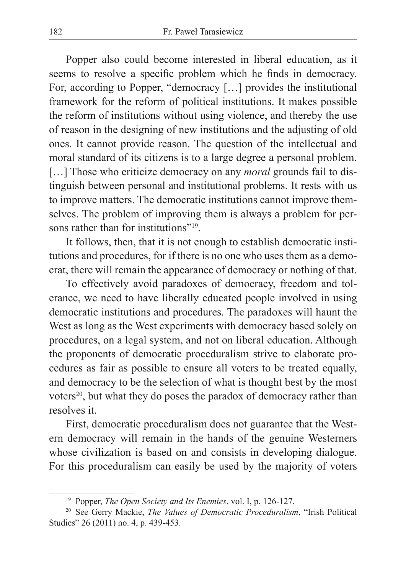Popper also could become interested in liberal education, as it seems to resolve a specific problem which he finds in democracy. For, according to Popper, "democracy […] provides the institutional framework for the reform of political institutions. It makes possible the reform of institutions without using violence, and thereby the use of reason in the designing of new institutions and the adjusting of old ones. It cannot provide reason. The question of the intellectual and moral standard of its citizens is to a large degree a personal problem. [...] Those who criticize democracy on any *moral* grounds fail to distinguish between personal and institutional problems. It rests with us to improve matters. The democratic institutions cannot improve themselves. The problem of improving them is always a problem for persons rather than for institutions"<sup>19</sup>

It follows, then, that it is not enough to establish democratic institutions and procedures, for if there is no one who uses them as a democrat, there will remain the appearance of democracy or nothing of that.

To effectively avoid paradoxes of democracy, freedom and tolerance, we need to have liberally educated people involved in using democratic institutions and procedures. The paradoxes will haunt the West as long as the West experiments with democracy based solely on procedures, on a legal system, and not on liberal education. Although the proponents of democratic proceduralism strive to elaborate procedures as fair as possible to ensure all voters to be treated equally, and democracy to be the selection of what is thought best by the most voters<sup>20</sup>, but what they do poses the paradox of democracy rather than resolves it.

First, democratic proceduralism does not guarantee that the Western democracy will remain in the hands of the genuine Westerners whose civilization is based on and consists in developing dialogue. For this proceduralism can easily be used by the majority of voters

<sup>19</sup> Popper, *The Open Society and Its Enemies*, vol. I, p. 126-127.

<sup>20</sup> See Gerry Mackie, *The Values of Democratic Proceduralism*, "Irish Political Studies" 26 (2011) no. 4, p. 439-453.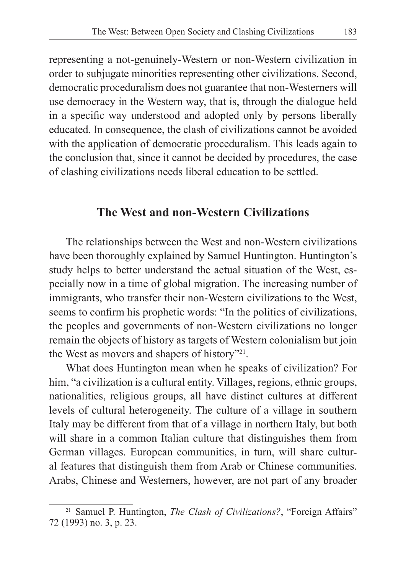representing a not-genuinely-Western or non-Western civilization in order to subjugate minorities representing other civilizations. Second, democratic proceduralism does not guarantee that non-Westerners will use democracy in the Western way, that is, through the dialogue held in a specific way understood and adopted only by persons liberally educated. In consequence, the clash of civilizations cannot be avoided with the application of democratic proceduralism. This leads again to the conclusion that, since it cannot be decided by procedures, the case of clashing civilizations needs liberal education to be settled.

# **The West and non-Western Civilizations**

The relationships between the West and non-Western civilizations have been thoroughly explained by Samuel Huntington. Huntington's study helps to better understand the actual situation of the West, especially now in a time of global migration. The increasing number of immigrants, who transfer their non-Western civilizations to the West, seems to confirm his prophetic words: "In the politics of civilizations, the peoples and governments of non-Western civilizations no longer remain the objects of history as targets of Western colonialism but join the West as movers and shapers of history"21.

What does Huntington mean when he speaks of civilization? For him, "a civilization is a cultural entity. Villages, regions, ethnic groups, nationalities, religious groups, all have distinct cultures at different levels of cultural heterogeneity. The culture of a village in southern Italy may be different from that of a village in northern Italy, but both will share in a common Italian culture that distinguishes them from German villages. European communities, in turn, will share cultural features that distinguish them from Arab or Chinese communities. Arabs, Chinese and Westerners, however, are not part of any broader

<sup>21</sup> Samuel P. Huntington, *The Clash of Civilizations?*, "Foreign Affairs" 72 (1993) no. 3, p. 23.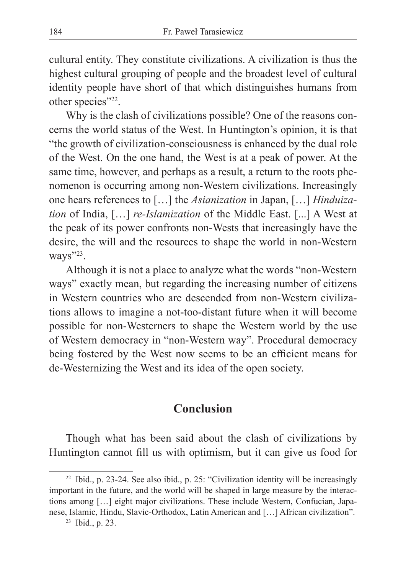cultural entity. They constitute civilizations. A civilization is thus the highest cultural grouping of people and the broadest level of cultural identity people have short of that which distinguishes humans from other species"<sup>22</sup>.

Why is the clash of civilizations possible? One of the reasons concerns the world status of the West. In Huntington's opinion, it is that "the growth of civilization-consciousness is enhanced by the dual role of the West. On the one hand, the West is at a peak of power. At the same time, however, and perhaps as a result, a return to the roots phenomenon is occurring among non-Western civilizations. Increasingly one hears references to […] the *Asianization* in Japan, […] *Hinduization* of India, […] *re-Islamization* of the Middle East. [...] A West at the peak of its power confronts non-Wests that increasingly have the desire, the will and the resources to shape the world in non-Western ways"<sup>23</sup>.

Although it is not a place to analyze what the words "non-Western ways" exactly mean, but regarding the increasing number of citizens in Western countries who are descended from non-Western civilizations allows to imagine a not-too-distant future when it will become possible for non-Westerners to shape the Western world by the use of Western democracy in "non-Western way". Procedural democracy being fostered by the West now seems to be an efficient means for de-Westernizing the West and its idea of the open society.

### **Conclusion**

Though what has been said about the clash of civilizations by Huntington cannot fill us with optimism, but it can give us food for

<sup>&</sup>lt;sup>22</sup> Ibid., p. 23-24. See also ibid., p. 25: "Civilization identity will be increasingly important in the future, and the world will be shaped in large measure by the interactions among […] eight major civilizations. These include Western, Confucian, Japanese, Islamic, Hindu, Slavic-Orthodox, Latin American and […] African civilization".

<sup>23</sup> Ibid., p. 23.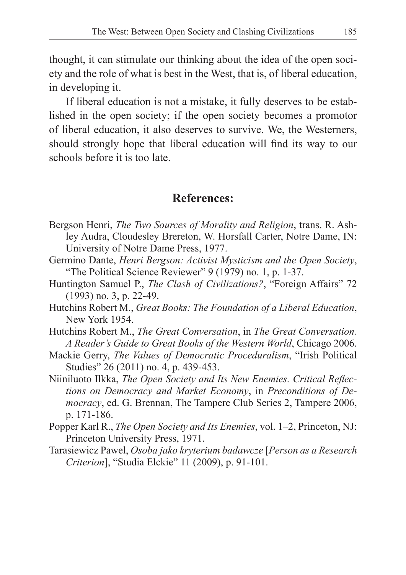thought, it can stimulate our thinking about the idea of the open society and the role of what is best in the West, that is, of liberal education, in developing it.

If liberal education is not a mistake, it fully deserves to be established in the open society; if the open society becomes a promotor of liberal education, it also deserves to survive. We, the Westerners, should strongly hope that liberal education will find its way to our schools before it is too late.

### **References:**

- Bergson Henri, *The Two Sources of Morality and Religion*, trans. R. Ashley Audra, Cloudesley Brereton, W. Horsfall Carter, Notre Dame, IN: University of Notre Dame Press, 1977.
- Germino Dante, *Henri Bergson: Activist Mysticism and the Open Society*, "The Political Science Reviewer" 9 (1979) no. 1, p. 1-37.
- Huntington Samuel P., *The Clash of Civilizations?*, "Foreign Affairs" 72 (1993) no. 3, p. 22-49.
- Hutchins Robert M., *Great Books: The Foundation of a Liberal Education*, New York 1954.
- Hutchins Robert M., *The Great Conversation*, in *The Great Conversation. A Reader's Guide to Great Books of the Western World*, Chicago 2006.
- Mackie Gerry, *The Values of Democratic Proceduralism*, "Irish Political Studies" 26 (2011) no. 4, p. 439-453.
- Niiniluoto Ilkka, *The Open Society and Its New Enemies. Critical Reflections on Democracy and Market Economy*, in *Preconditions of Democracy*, ed. G. Brennan, The Tampere Club Series 2, Tampere 2006, p. 171-186.
- Popper Karl R., *The Open Society and Its Enemies*, vol. 1–2, Princeton, NJ: Princeton University Press, 1971.
- Tarasiewicz Pawel, *Osoba jako kryterium badawcze* [*Person as a Research Criterion*], "Studia Elckie" 11 (2009), p. 91-101.